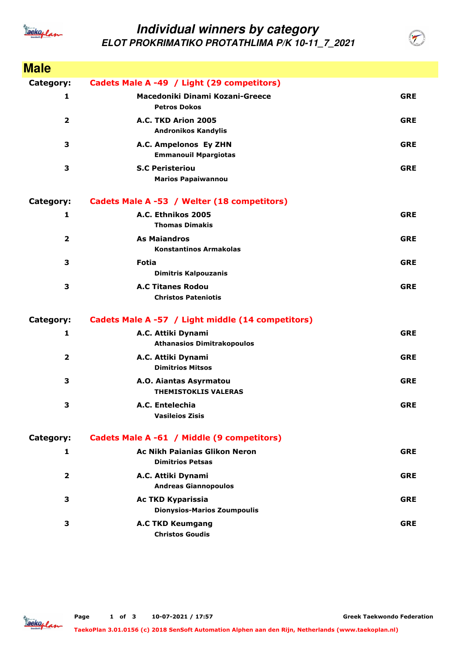

## **Individual winners by category ELOT PROKRIMATIKO PROTATHLIMA P/K 10-11\_7\_2021**

**Male Category: Cadets Male A -49 / Light (29 competitors) 1 Petros Dokos Macedoniki Dinami Kozani-Greece GRE 2 Andronikos Kandylis A.C. TKD Arion 2005 GRE 3 Emmanouil Mpargiotas A.C. Ampelonos Ey ZHN GRE 3 Marios Papaiwannou S.C Peristeriou GRE Category: Cadets Male A -53 / Welter (18 competitors) 1 Thomas Dimakis A.C. Ethnikos 2005 GRE 2 Konstantinos Armakolas As Maiandros GRE 3 Dimitris Kalpouzanis Fotia GRE 3 Christos Pateniotis A.C Titanes Rodou GRE Category: Cadets Male A -57 / Light middle (14 competitors) 1 Athanasios Dimitrakopoulos A.C. Attiki Dynami GRE 2 Dimitrios Mitsos A.C. Attiki Dynami GRE 3 THEMISTOKLIS VALERAS A.O. Aiantas Asyrmatou GRE 3 Vasileios Zisis A.C. Entelechia GRE Category: Cadets Male A -61 / Middle (9 competitors) 1 Dimitrios Petsas Ac Nikh Paianias Glikon Neron GRE 2 Andreas Giannopoulos A.C. Attiki Dynami GRE 3 Dionysios-Marios Zoumpoulis Ac TKD Kyparissia GRE 3 Christos Goudis A.C TKD Keumgang GRE**



**Greek Taekwondo Federation**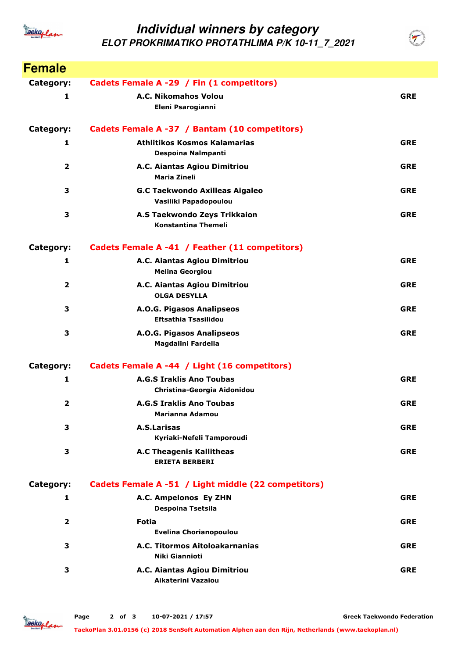

## **Individual winners by category ELOT PROKRIMATIKO PROTATHLIMA P/K 10-11\_7\_2021**



**Greek Taekwondo Federation**